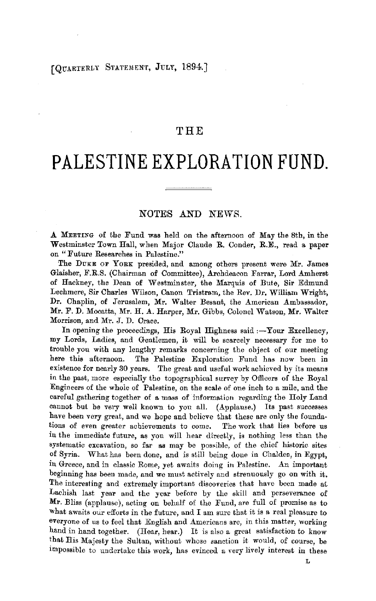## [QUARTERLY STATEMENT, JULY, 1894.]

## THE

## **PALESTINE EXPLORATION FUND.**

## NOTES AND NEWS.

.A MEETING of the Fund was held on the afternoon of May the 8th, in the Westminster Town Hall, when Major Claude R. Conder, R.E., read a paper on "Future Researches in Palestine."

The DUKE OF YORK presided, and among others present were Mr. James Glaisher, F.R.S. (Chairman of Committee), Archdeacon Farrar, Lord Amherst of Hackney, the Dean of Westminster, the Marquis of Bute, Sir Edmund Lechmere, Sir Charles Wilson, Canon Tristram, the Rev. Dr. William Wright, Dr. Chaplin, of Jerusalem, Mr. Walter Besant, the American Ambassador, Mr. F. D. Mocatta, Mr. H. A. Harper, Mr. Gibbs, Colonel Watson, Mr. Walter Morrison, and Mr. J. D. Crace.

In opening the proceedings, His Royal Highness said : $-Y$ our Excellency, my Lords, Ladies, and Gentlemen, it will be scarcely necessary for me to trouble you with any lengthy remarks concerning the object of our meeting here this aftemoon. The Palestine Exploration Fund has now been in existence for nearly 30 years. The great and useful work achieved by its means in the past, more especially the topographical survey by Officers of the Royal Engineers of the whoie of Palestine, on the scale of one inch to a mile, and the careful gathering together of a mass of information regarding the Holy Land cannot but. be very well known to you all. (Applause.) Its past successes have been very great, and we hope and believe that these are only the foundations of even greater achievements to come. The work that lies before us in the immediate future, as you will hear directly, is nothing less than the systematic excavation, so far as may be possible, of the chief historic sites of Syria. What has been done, and is still being done in Chalden, in Egypt, in Greece, and in classic Rome, yet awaits doing in Palestine. An important beginning has been made, and we must actively and strenuously go on with it. The interesting and extremely important discoveries that have been made at Lachish last year and the year before by the skill and perseverance of **Mr.** Bliss (applause), acting on behalf of the Fund, are full of promise as to what awaits our efforts in the future, and I am sure that it is a real pleasure to everyone of us to feel that English and Americans are, in this matter, working hand in hand together. (Hear, hear.) It is also a great satisfaction to know that His Majesty the Sultan, without whose sanction it would, of course, be impossible to undertake this work, has evinced a very lively interest in these

L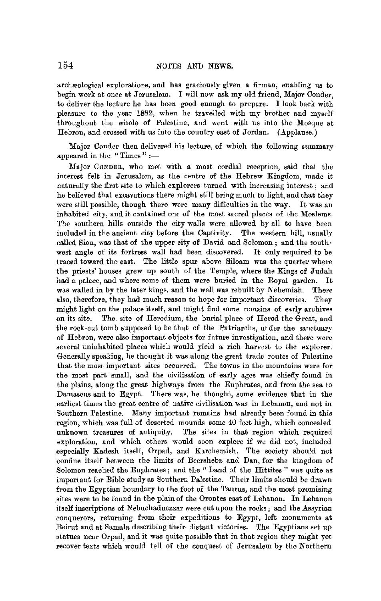archæological explorations, and has graciously given a firman, enabling us to begin work at once at Jerusalem. I will now ask my old friend, Major Conder, to deliver the lecture he has been good enough to prepare. I look back with pleasure to the year !882, when he travelled with my brother and myself throughout the whole of Palestine, and went with us into the Mosque at Hebron, and crossed with us into the country east of Jordan. (Applause.)

Major Conder then delivered his lecture, of which the following summary appeared in the "Times" :-

Major CONDER, who met with a most cordial reception, said that the interest felt in Jerusalem, as the centre of the Hebrew Kingdom, made it, naturally the first site to which explorers turned with increasing interest ; and he believed that excavations there might still bring much to light, and that they were still possible, though there were mauy difficulties in the way. It was an inhabited city, and it contained one of the most sacred places of the Moslems, The southern hills outside the city walls were allowed by all to have been included in the ancient city before the Captivity. The western hill, usually called Sion, was that of the upper city of David and Solomon ; and the southwest angle of its fortress wall had been discovered. It only required to be traced toward the east. The little spur above Siloam was the quarter where the priests' houses grew up south of the Temple, where the Kings of Judah had a palace, and where some of them were buried in the Royal garden. It was walled in by the later kings, and the wall was rebuilt by Nehemiah. There also, therefore, they had much reason to hope for important discoveries. They might light on the palace itself, and might find some remains of early archives on its site. The. site of Herodium, the burial place of Herod the Great, and the rock-cut tomb supposed to be that of the Patriarchs, under the sanctuary of Hebron, were also important objects for future investigation, and there were several uninhabited places which would yield a rich harvest to the explorer. Generally speaking, he thought it was along the great trade routes of Palestine that the most important sites occurred. The towns in the mountains were for the most part small, and the civilisation of early ages was chiefly found in the plains, along the great highways from the Euphrates, and from the sea to Damascus and to Egypt. There was, he thought, some evidence that in the earliest times the great centre of native civilisation was in Lebanon, and not in Southern Palestine. Many important remains had already been found in this region, which was full of deserted mounds some 40 feet high, which concealed unknown treasures of antiquity. The sites in that region which required exploration, and which others would soon explore if we did not, included ,especially Kadesh itself, Orpad, and Karchemish. The society should not confine itself between the limits of Beersheba and Dan, for the kingdom of Solomon reached the Euphrates ; and the " Land of the Hittites " was quite as important for Bible study as Southern Palestine. Their limits should be drawn from the Egyrtian boundary to the foot *oi* the Taurus, and the most promising sites were to be found in the plain of the Orantes east of Lebanon. In Lebanon itself inscriptions of Nebuchadnezzar were cut upon the rocks; and the Assyrian conquerors, returning from their expeditions to Egypt, left monuments **at**  Beirut and at Samala describing their distant victories. The Egyptians set up statues near Orpad, and it was quite possible that in that region they might yet recover texts which would tell of the conquest of Jerusalem by the Northern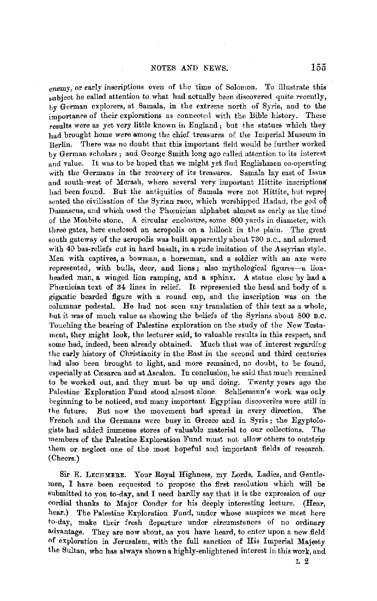enemy, or early inscriptions even of the time of Solomon. To illustrate this subject he called attention to what had actually been discovered quite recently, by German explorers, at Samala, in the extreme north of Syria, and to the importance of their explorations as connected with the Bible history. These results were as yet very little known in England; but the statues which they had brought home were among the chief treasures of the Imperial Museum in Berlin. There was no doubt that this important field would be further worked by German scholars; and George Smith long ago called attention to its interest and value. It was to be hoped that we might yet find Englishmen co-operating with the Germans in the recovery of its treasures. Samala lay east of Issus and south-west of Merash, where several very important Hittite inscriptions had been found. But the antiquities of Samala were not Hittite, but represented the civilisation of the Syrian race, which worshippecl Hadad, the god *01*  Damascus, and which used the Phcenician alphabet almost as early as the time of the Moabite stone. A circular enclosure, some 800 yards in diameter, with three gates, here enclosed an acropolis on a hillock in the plain. The great south gateway of the acropolis was built apparently about 730 B.C., and adorned with 40 bas-reliefs cut in hard basalt, in a rude imitation of the Assyrian style. Men with captives, a bowman, a horseman, and a soldier with an axe were represented, with bulls, deer, and lions; also mythological figures-a lionheaded man, **a** winged lion ramping, and a sphinx. **A** statue close by had a Phoenician text of 34 lines in relief. It represented the head and body of a gigantic bearded figure with a round cap, and the inscription was on the columnar pedestal. He had not seen any translation of this text as a whole, hut it was of much value as showing the beliefs of the Syrians about 800 B.C. Touching the bearing of Palestine exploration on the study of the New Testament, they might look, the lecturer said, to valuable results in this respect, and some had, indeed, been already obtained. Much that was of interest regarding the early history of Christianity in the East in the second and third centuries had also been brought to light, and more remained, no doubt, to be found, especially at Cæsarca and at Ascalon. In conclusion, he said that much remained to be worked out, and they must be up and doing. Twenty years ago the Palestine Exploration Fund stood almost alone. Schliemann's work was only beginning to be noticed, and many important Egyptian discoveries were still in the future. But now the movement had spread in every direction. The French and the Germans were busy in Greece and in Syria; the Egyptologists had added immense stores of valuable material to our collections. The members of the Palestine Exploration Fund must not allow others to outstrip them or neglect one of the most hopeful and important fields of research. (Cheers.)

Sir E. LECHMERE. Your Royal Highness, my Lords, Ladies, and Gentlemen, I have been requested to propose the first resolution which will be submitted to you to-day, and I need hardly say that it is the expression of our cordial thanks to Major Conder for his deeply interesting lecture. (Hear, hear.) The Palestine Exploration Fund, under whose auspices we *meet* here to-day, make their fresh departure under circumstances of no ordinary advantage. They are now about, as you have heard, to enter upon a new field of exploration in Jerusalem, with the full sanction of His Imperial Majesty the Sultan, who has always shown a highly-enlightened interest in this work, and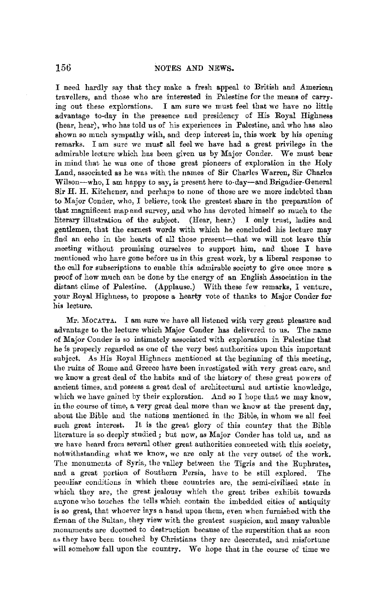I need hardly say that they make a fresh appeal to British and American travellers, and those who are interested in Palestine for the means of carrying out these explorations. I am sure we must feel that we have no little advantage to-day in the presence and presidency of His Royal Highness (hear, hear), who has told us of his experiences in Palestine, and who has also shown so much sympathy with, and deep interest in, this work by his opening remarks. I am sure we must all feel we have had a great privilege in the admirable lecture which has been given us by Major Conder. We must bear in mind that he was one of those great pioneers of exploration in the Holy Land, associated as he was with the names of Sir Charles Warren, Sir Charles Wilson-who, I am happy to say, is present here to-day-and Brigadier-General Sir H. H. Kitchener, and perhaps to none of those are we more indebted than to Major Conder, who, I believe, took the greatest share in the preparation of that magnificent map and survey, and who has devoted himself so much to the literary illustration of the subject. (Hear, hear.) I only trust, ladies and gentlemen, that the earnest words with which he concluded his lecture may find an echo in the hearts of all those present-that we will not leave this meeting without promising ourselves to support him, and those I have mentioned who have gone before us in this great work, by a liberal response to the call for subscriptions to enable this admirable society to give once more a proof of how much can be done by the energy of an English Association in the distant clime of Palestine. (Applause.) With these few remarks, I venture, your Royal Highness, to propose a hearty vote of thanks to Major Conder for his lecture.

Mr. MOCATTA. I am sure we have all listened with very great pleasure and advantage to the lecture which Major Conder has delivered to us. The name of Major Conder is so intimately associated with exploration in Palestine that he is properly regarded as one of the very best authorities upon this important subject. As His Royal Highness mentioned at the beginning of this meeting, the ruins of Rome and Greece have been investigated with very great care, and we know a great deal of the habits and of the history of these great powers of ancient times, and possess a great deal of architectural and artistic knowledge, which we have gained by their exploration. And so I hope that we may know, in the course of time, a very great deal more than we know at the present day, about the Bible and the nations mentioned in the Bible, in whom we all feel such great interest. It is the great glory of this country that the Bible literature is so deeply studied; but now, as Major Conder has told us, and as we have heard from several other great authorities connected with this society, notwithstanding what we know, we are only at the very outset of the work. The monuments of Syria, the valley between the Tigris and the Euphrates, and a great portion of Southern Persia, have to be still explored. The peculiar conditions in which these countries are, the semi-civilised state in which they are, the great jealousy which the great tribes exhibit towards anyone who touches the tells which contain the imbedded cities of antiquity is so great, that whoever lays a hand upon them, even when furnished with the firman of the Sultan, they view with the greatest suspicion, and many valuable monuments are doomed to destruction because of the superstition that as soon as they have been touched hy Christians they are desecrated, and misfortune will somehow fall upon the country. We hope that in the course of time we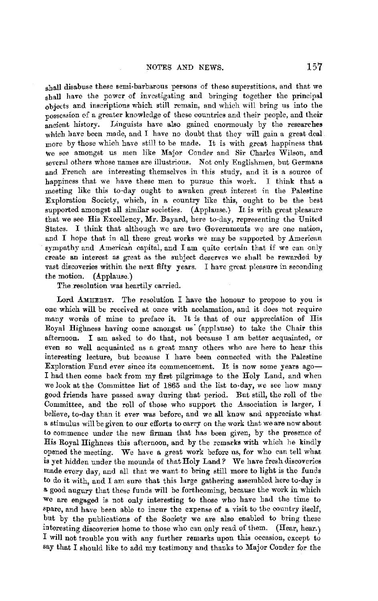shall disabuse these semi-barbarous persons of these superstitions, and that we shall have the power of investigating and bringing together the principal objects and inscriptions which still remain, and which will bring us into the possession ef a greater knowledge of these countries and their people, and their ancient history. Linguists have also gained enormously by the researches which have been made, and I have no doubt that they will gain a great deal. more by those which have still to be made. It is with great happiness that we see amongst us men like Major Conder and Sir Charles Wilson, and several others whose names are illustrious. Not only Englishmen, but Germans and French are interesting themselves in this study, and it is a source of happiness that we have these men to pursue this work. I think that **a**  meeting like this to-day ought to awaken great interest in the Palestine Exploration Society, which, in a country like this, ought to be the best supported amongst all similar societies. (Applause.) It is with great pleasure that we see His Excellency, Mr. Bayard, here to-day, representing the United States. I think that although we are two Governments we are one nation, and I hope that in all these great works we may be supported by American sympathy and American capital, and I am quite certain that if we can only create an interest as great as the subject deserves we shaH be rewarded by vast discoveries within the next fifty years. I have great pleasure in seconding the motion. (Applause.)

The resolution was heartily carried.

Lord AMHERST. The resolution I have the honour to propose to you is one which **will** be received at once with acclamation, and it does not require many words of mine to preface it. It is that of our appreciation of His Royal Highness having come amongst us (applause) to take the Chair this afternoon. I am asked to do that, not because I am better acquainted, or even so well acquainted as a great many others who are here to hear this interesting lecture, but because I have been connected with the Palestine Exploration Fund ever since its commencement. It is now some vears ago-I had then come back from my first pilgrimage to the Holy Land, and when we look at the Committee list of 1865 and the list to-day, we see how many good friends have passed away during that period. But still, the roll of the Committee, and the roll of those who support the Association is larger, I believe, to-day than it ever was before, and we all know and appreciate what a stimulus will be given to our efforts to carry on the work that we are now about to commence under the new firman that has been given, by the presence of His Royal Highness this afternoon, and by the remarks with which he kindly opened the meeting. We have a great work before us, for who can tell what is yet hidden under the mounds of that Holy Land? We have fresh discoveries made every day, and all that we want to bring still more to light is the funds to do it with, and I am sure that this hirge gathering assembled here to-day is a good augury that these funds will be forthcoming, because the work in which we are engaged is not only interesting to those who have bad the time to spare, and have been able to incur the expense of a visit to the country itself, but by the publications of the Society we are also enabled to bring these interesting discoveries home to those who can only read of them. (Hear, hear.) I will not trouble you with any further remarks upon this occasion, except to say that I should like to add my testimony and thanks to Major Conder for the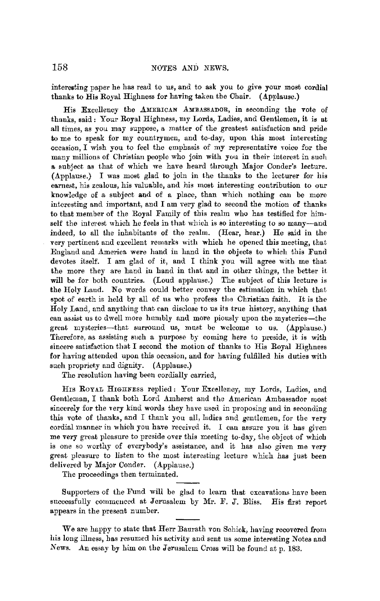interesting paper he has read to us, and to ask you to give your most cordial thanks to His Royal Highness for having taken tbe Chair. (Applause.)

His Excellency the AMERICAN AMBASSADOR, in seconding the vote of thanks, said: Your Royal Highness, my Lords, Ladies, and Gentlemen, it is at all times, as you may suppose, a matter of the greatest satisfaction and pride to me to speak for my countrymen, and to-day, upon this most interesting occasion, I wish you to feel the emphasis of my representative voice for the many millions of Christian people who join with you in their interest in such a subject as that of which we have heard through Major Conder's lecture.  $(A\n$ pplause.) I was most glad to join in the thanks to the lecturer for his earnest, his zealous, his valuable, and his most interesting contribution to our knowledge of a subject and of a place, than which nothing can be more interesting and important, and I am very glad to second the motion **of** thanks to that member of the Royal Family of this realm who has testified for himself the interest which he feels in that which is so interesting to so many-and indeed, to all the inhabitants of the realm. (Hear, hear.) He said in the very pertinent and excellent remarks with which he opened this meeting, that England and America were hand in hand iu the objects to which this Fund devotes itself. I am glad of it, and I think you will agree with me that the more they are hand in hand in that and in other things, the better it will be for both countries. (Loud applause.) The subject of this lecture is the Holy Land. No words could better convey the estimation in which that spot of earth is held by all of us who profess tho Christian faith. It is the Holy Land, and anything that can disclose to us its true history, anything that can assist us to dwell more humbly and more piously upon the mysteries-the great mysteries-that surround us, must be welcome to us. (Applause.) Therefore, as assisting such a purpose by coming here to preside, it is with sincere satisfaction that I second the motion of thanks to His Royal Highnees for having attended upon this occasion, and for having fulfilled his duties with such propriety and dignity. (Applause.)

The resolution having been cordially carried,

Hrs ROYAL HIGHNESS replied: Your Excellency, my Lords, Ladies, and Gentleman, I thank both Lord Amherst and the American Ambassador most sincerely for the very kind words they have used in proposing and in seconding this vote of thanks, and I thank you all, ladies and gentlemen, for the very cordial manner in which you have received it. I can assure you it has given me very great pleasure to preside over this meeting to-day, the object of which is one so worthy of everybody's assistance, and it has also given me very great pleasure to listen to the most interesting lecture which has just been delivered by Major Conder. (Applause.)

The proceedings then terminated.

Supporters of the Fund will be glad to learn that excavations have been successfully commenced at Jerusalem by Mr. F. J. Bliss. His first report appears in the present number.

We are happy to state that Herr Baurath von Schick, having recovered from his long illness, has resumed his activity and sent us some interesting Notes and News. An essay by him on the Jerusalem Cross will be found at p. 183.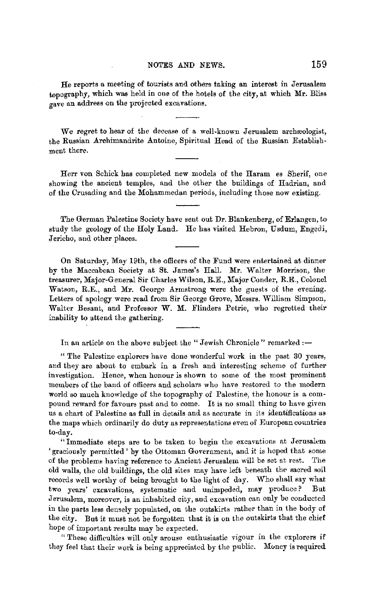He reports a meeting of tourists and others taking an interest in Jerusalem topography, which was held in one of the hotels of the city, at which Mr. Bliss gave an address on the projected excavations.

We regret to hear of the decease of a well-known Jerusalem archreologist, the Russian Arohimandrite Antoine, Spiritual Head of the Russian Establishment there.

Herr von Schick has completed new models of the Haram es Sherif, one showing the ancient temples, and the other the buildings of Hadrian, and of the Crusading and the Mohammedan periods, including those now existing.

The German Palestine Society have sent out Dr. Blankenberg, of Erlangen, to study the geology of the Holy Land. He has visited Hebron, Usdum, Engedi, Jericho, and other places.

On Saturday, May 19th, the officers of the Fund were entertained at dinner by the Maccabean Society at St. James's Hall. Mr. Walter Morrison, the treasurer, Major-General Sir Charles Wilson, R.E., Major Conder, R.E., Colonel Watson, R.E., and Mr. George Armstrong were the guests of the evening. Letters of apology were read from Sir George Grove, Messrs. William Simpson, Walter Besant, and Professor W. M. Flinders Petrie, who regretted their inability to attend the gathering.

In an article on the above subject the "Jewish Chronicle" remarked: $-$ 

" The Palestine explorers have done wonderful work in the past 30 years, and they are about to embark in a fresh and interesting scheme of further investigation. Hence, when honour is shown to some of the most prominent members of the band of officers and scholars who have restored to the modern world so much knowledge of the topography of Palestine, the honour is a compound reward for favours past and to come. It is no small thing to have given us a chart of Palestine as full in details and as accurate in its identifications as the maps which ordinarily do duty as representations even of European countries to-day.

"Immediate steps are to be taken to begin the excavations at Jerusalem 'graciously permitted' by the Ottoman Government, and it is hoped that some of the problems having reference to Ancient Jerusalem will be set at rest. The old walls, the old buildings, the old sites may have left beneath the sacred soil records well worthy of being brought to the light of day. Who shall say what two years' excavations, systematic and unimpeded, may produce? But Jerusalem, moreover, is an inhabited city, and excavation can only be conducted in the parts less densely populated, on the outskirts rather than in the body of the city. But it must not be forgotten that it is on the outskirts that the chief hope of important results may be expected.

" These difficulties will onlv arouse enthusiastic vigour in the explorers if they feel that their work is being appreciated by the public. Money is required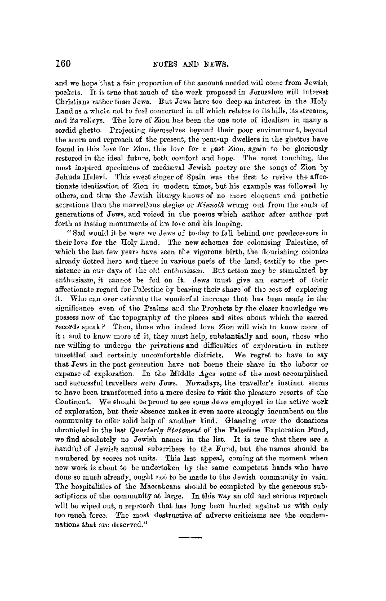and we hope that a fair proportion of the amount needed will come from Jewish pockets. It is true that much of the work proposed in Jerusalem will interest Christians rather than Jews. But Jews have too deep an interest in the Holy Land as a whole not to feel concerned in all which relates to its hills, its streams, and its valleys. The love of Zion has been the one note of idealism in many a sordid ghetto. Projecting themselves beyond their poor environment, beyond the scorn and reproach of the present, the pent-up dwellers in the ghettos have found in this love for Zion, this love for a past Zion, again to be gloriously restored in the ideal future, both comfort and hope. The most touching, the most inspired specimens of mediwval Jewish poetry are the songs of Zion by Jehuda Hulevi. This sweet singer of Spain was the first to revive the affectionate idealisation of Zion in modern times, but his example was followed by others, and thus the Jewish liturgy knows of no more eloquent and pathetic accretions than the marvellous elegies or *Kinnotk* wrung out from the souls of generations of Jews, aud voiced in the poems which author after author put forth as lasting monuments of his love and his longing.

"Sad would it be were we Jews of to-day to fall behind our predecessors in their love for the Holy Land. The new schemes for colonising Palestine, of which the last few years have seen the vigorous birth, the flourishing colonies already dotted here and there in various parts of the land, testify to the persistence in our days of the old enthusiasm. But action may be stimulated by enthusiasm, it cannot be fed on it. Jews must give an earnest of their affectionate regard for Palestine by bearing their share· of the cost of exploring it. Who can over estimate the wonderful increase that has been made in the significance even of the Psalms and the Prophets by the closer knowledge we possess now of the topography of the places and sites about which the sacred records speak? Then, those who indeed love Zion will wish *to* know more of it; and to know more of it, they must help, substantially and soon, those who are willing to undergo the privations and difficulties of exploration in rather unsettled and certainly uncomfortable districts. We regret to have to say that Jews in the past generation have not borne their share in the labour or expense of exploration. In the Middle  $A$ ges some of the most accomplished and successful travellers were Jews. Nowadays, the traveller's instinct seems to have been transformed into a mere desire to visit the pleasure resorts of the Continent. We should be proud to see some Jews employed in the active work of exploration, but their absence makes it even more strongly incumbent on the community to offer solid help of another kind. Glancing over the donations chronicled in the last *Quarterly Statement* of the Palestine Exploration Fund, we find absolutely no Jewish names in the list. It is true that there are a handful of Jewish annual subscribers to the Fund, but the names shonld be numbered by scores not units. This last appeal, coming at the moment when new work is about to be undertaken by the same competent hands who have done so much already, ought not to be made to the Jewish community in vain. The hospitalities of the Maccabeans should be completed by the generous subscriptions of the community at large. In this way an old and serious reproach will be wiped out, a reproach that has long been hurled against us with only too much force. The most destructive of adverse criticisms are the condemnations that are deserved."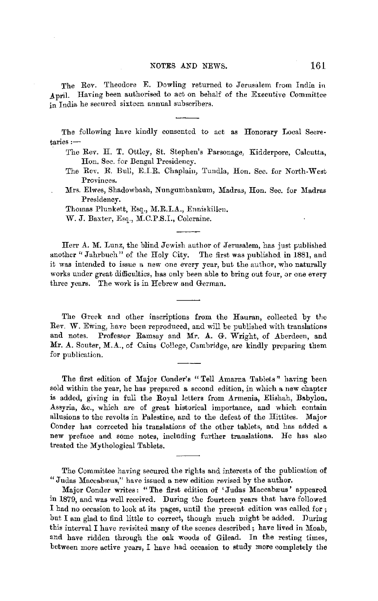The Rev. Theodore E. Dowling returned to Jerusalem from India in April. Having been authorised to act on behalf of the Executive Committee in India he secured sixteen annual subscribers.

The following have kindly consented to act as Honorary Local Secre $t$ aries: $-$ 

- The Rev. H. T. Ottley, St. Stephen's Parsonage, Kidderpore, Calcutta, Hon. Sec. for Bengal Presidency.
- The Rev. E. Bull, E.I.R. Chaplain, Tundla, Hon. Sec. for North-West Provinces.
- Mrs. Elwes, Shadowbash, Nungumbankum, Madras, Hon. Sec. for Madras Presidency.

Thomas Plunkett, Esq., M.R.I.A., Enniskillen.

W. J. Baxter, Esq., M.C.P.S.I., Coleraine.

Herr A. M. Lunz, the blind Jewish author of Jerusalem, has just published another " Jahrbuch" of the Holy City. The first was published in 1881, and it was intended to issue a new one every year, but the author, who naturally works under great difficulties, has only been able to bring out four, or one every three years. The work is in Hebrew and German.

The Greek and other inscriptions from the Hauran, collected by the Rev. W. Ewing, have been reproduced, and will be published with translations and notes. Professor Ramsay and Mr. A. G. Wright, of Aberdeen, and Mr. A. Souter, M.A., of Caius College, Cambridge, are kindly preparing them for publication.

The first edition of Major Conder's "Tell Amarna Tablets" having been sold within the year, he has prepared a second edition, in which a new chapter is added, giving in full the Royal letters from Armenia, Elishah, Babylon, Assyria, &c., which are of great historical importance, and which contain allusions to the revolts in Palestine, and to the defeat of the Hittites. Major Conder has corrected his translations of the other tablets, and has added a new preface and some notes, including further translations. He has also treated the Mythological Tablets.

The Committee having secured the rights and interests of the publication of "Judas Maccabæus," have issued a new edition revised by the author.

Major Conder writes: "The first edition of 'Judas Maccabæus' appeared in 1879, and was well received. During the fourteen years that have followed I had no occasion to look at its pages, until the present edition was called for ; but I am glad to find little to correct, though much might be added. During this interval I have revisited many of the scenes described; have lived in Moab, and have ridden through the oak woods of Gilead. In the resting times, between more active years, I have had occasion to study more eompletely the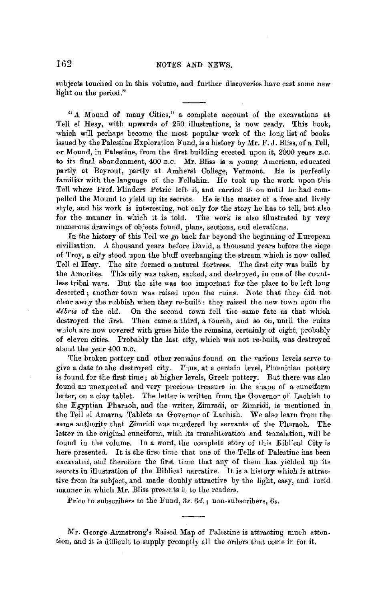subjects touched on in this volume, and further discoveries have cast some new light on the period."

"A Mound of many Cities," a complete account of the excavations at Tell el Hesy, with upwards of 250 illustrations, is now ready. This book, which will perhaps become the most popular work of the long list of books issued by the Palestine Exploration Fund, is a history by Mr. F. J. Bliss, of a Tell, or Mound, in Palestine, from the first building erected upon it, 2000 years B.C. to its final abandonment, 400 B.C. Mr. Bliss is a young American, educated partly at Beyrout, partly at Amherst College, Vermont. He is perfectly familiar with the language of the Fellahin. He took up the work upon this Tell where Prof. Flinders Petrie left it, and carried it on until he had compelled the Mound to yield up its secrets. He is the master of a free and lively style, and his work is interesting, not only for the story he has to tell, bnt also **for** the manner in which it is told. The work is also illustrated by very numerous drawings of objects found, plans, sections, and elevations.

In the history of this Tell we go back far beyond the beginning of European civilisation. A thousand years before David, a thousand years before the siege of Troy, a city stood upon the bluff overhanging the stream which is now called Tell el Hesy. The site formed a natural fortress. The first city was built by the Amorites. This city was taken, sacked, and destroyed, in one of the countless tribal wars. But the site was too important for the place to be left long deserted ; another town was raised upon the ruins. Note that they did not clear away the rubbish when they re-built: they raised the new town upon the débris of the old. On the second town fell the same fate as that which destroyed the first. Then came a third, a fourth, and so on, until the ruins which are now covered with grass hide the remains, certainly of eight, probably of eleven cities. Probably the last city, which was not re-built, was destroyed about the year 400 B.C.

The broken pottery and other remaius found on the various levels serve to give a date to the destroyed city. Thus, at a certain level, Phœnician pottery is found for the first time; at higher levels, Greek pottery. But there was also found an unexpected and very precious treasure in the shape of a cuneiform letter, on a clay tablet. The letter is written from the Governor of Lachish to the Egyptian Pharaoh, and the writer, Zimradi, or Zimridi, is mentioned in the Tell el Amarna Tablets as Governor of Laohish. We also learn from the same authority that Zimridi was murdered by servants of the Pharaoh. The letter in the original cuneiform, with its transliteration and translation, will be found in the volume. In a word, the complete story of this Biblical City is here presented. It is the first time that one of the Tells of Palestine has been excavated, and therefore the first time that any of them has yielded up its secrets in illustration of the Biblical narrative. It is a history which is attractive from its subject, and made doubly attractive by the light, easy, and lucid manner in which Mr. Bliss presents it to the readers.

Price to subscribers to the Fund, 3s.  $6d.$ ; non-subscribers,  $6s.$ 

Mr. George Armstrong's Raised Map of Palestine is attracting much attention, and it is difficult to supply promptly all the orders that come in for it.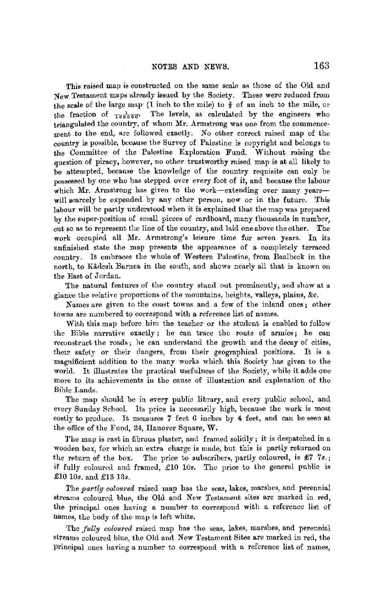This raised map is constructed on the same scale as those of the Old and New Testament maps already issued by the Society. These were reduced from the scale of the large map (1 inch to the mile) to  $\frac{3}{8}$  of an inch to the mile, or the fraction of  $\frac{1}{188980}$ . The levels, as calculated by the engineers who triangulated the country, of whom Mr. Armstrong was one from the commencement to the end, are followed exactly. No other correct raised map of the country is possible, because the Survey of Palestine is copyright and belongs to the Committee of the Palestine Exploration Fund. Without raising the question of piracy, however, no other trustworthy raised map is at all likely to be attempted, because the knowledge of the country requisite can only be possessed by one who has stepped over every foot of it, and because the labour which Mr. Armstrong has given to the work-extending over many years**will** scarcely be expended by any other person, now or in the future. This labour **will** be partly understood when it is explained that the map was prepared by the super-position of small pieces of cardboard, many thousands in number, cut so as to represent the line of the country, and laid one above the other. The work occupied all Mr. Armstrong's leisure time for seven years. In its unfinished state the map presents the appearance of a completely terraced country. It embraces the whole of Western Palestine, from Baalbeck in the north, to Kadesh Baruea in the south, and shows nearly all that is known on the East of Jordan.

The natural features of the country stand out prominently, and show at a glance the relative proportions of the mountains, heights, valleys, plains, &c.

Names are given to the coast towns and a few of the inland ones; other towns are numbered to correspond with a reference list of names.

With this map before him the teacher or the student is enabled to follow the Bible narrative exactly ; he can trace the route of armies; he can reconstruct the roads; he can understand the growth and the decay of cities, their safety or their dangers, from their geographical positions. It is a magnificient addition to the many works which this Society has given to the world. It illustrates the practical usefulness of the Society, while it adds one more to its achievements in the cause of illustration and explanation of the Bible Lands.

The map should be in every public library, and every public school, and every Sunday School. Its price is necessarily high, because the work is most costly to produce. It measures 7 feet *6* inches by 4 feet, and can be seen at the office of the Fund, 24, Ilanover Square, W.

1'hc map is cast in fibrous plaster, and framed solidly; it is despatched in a wooden box, for which an extra charge is made, but this is partly returned on the return of the box. The price to subscribers, partly coloured, is £7 *7s.;*  if fully coloured and framed, £10 10s. The price to the general public is £10 10s. and £13 13s.

The *partly coloured* raised map has the seas, lakes, marshes, and perennial streams coloured blue, the Old and New Testament sites are marked in red, the principal ones having a number to correspond with a reference list of names, the body of the map is left white.

The *fully coloured* raised map has the seas, lakes, marshes, and perennial streams coloured blue, the Old and New Testament Sites are marked in red, the principal ones having a number to correspond with a reference list of names,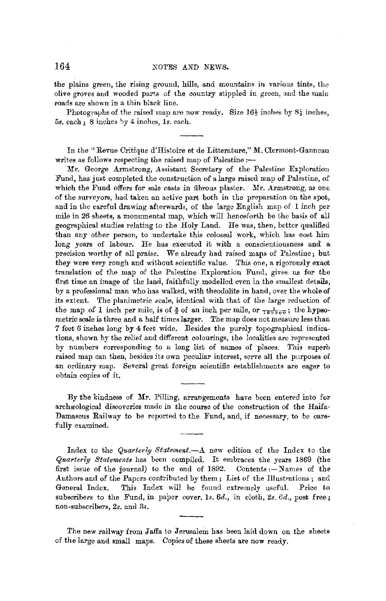the plains green, the rising ground, hills, and mountains in various tints, the olive groves and wooded parts of the country stippled in green, and the main roads are shown in a thin black line.

Photographs of the raised map are now ready. Size  $16\frac{1}{2}$  inches by  $8\frac{1}{2}$  inches, 5s. each; 8 inehes 1 Jy 4 inches, *ls.* each.

In the "Revue Critique d'Histoire et de Litterature," M. Clermont-Ganneau writes as follows respecting the raised map of Palestine :-

Mr. George Armstrong, Assistant Secretary of the Palestine Exploration Fund, has just completed the construction of a large raised map of Palestine, of which the Fund offers for sale casts in fibroua plaster. Mr. Armstrong, as one of the surveyors, had taken an active part both in the preparation on the spot, and in the careful drawing afterwards, of the large English map of 1 inch per mile in *26* sheets, a monumental map, which will henceforth be the basis of all geogmphical studies relating io the Holy Land. He was, then, better qualified than any other person, to undertake this colossal work, which has cost him long years of labour. He has executed it with a conscientiousness and a precision worthy of all praise. We already had raised maps of Palestine; but they were very rough and without scientific value. This one, a rigorously exact translation of the map of the Palestine Exploration Fund, gives us for the first time an image of the land, faithfully modelled even in the smallest details, by a professional man who has walked, with theodolite in hand, over the whole of its extent. The planimetric scale, identical with that of the large reduction of the map of 1 inch per mile, is of  $\frac{3}{8}$  of an inch per mile, or  $\frac{1}{168960}$ ; the hypsometric scale is three and a half times larger. The map does not measure less than 7 feet 6 inches long by 4 feet wide. Besides the purely topographical indications, shown by the relief and different colourings, the localities arc represented by numbers corresponding to a long list of names of places. This superb raised map can then, besides its own peculiar interest, serve all the purposes of an ordinary map. Several great foreign scientific establishments are eager to obtain copies of it.

By the kindness of Mr. Pilling, arrangements have been entered into for archaeological discoveries made in the course of the construction of the Haifa-Damascus Railway to be reported to the Fund, and, if necessary, to be carefully examined.

Index to the *Quarterly Statement.-A* new edition of the Index to the *Quarterly Statements* has been compiled. It embraces the years 1869 (the first issue of the journal) to the end of 1892. Contents :- Names of the Authors and of the Papers contributed by them; List of the Illustrations; and General Index. This Index will be found extremely useful. Price to subscribers to the Fund, in paper cover. *ls. 6d.,* in cloth, *2s. Gd.,* post free; non-subscribers, 2s. and 3s.

The new railway from Jaffa to Jerusalem has been laid down on the sheets of the large and small maps, Copies of these sheets are now ready.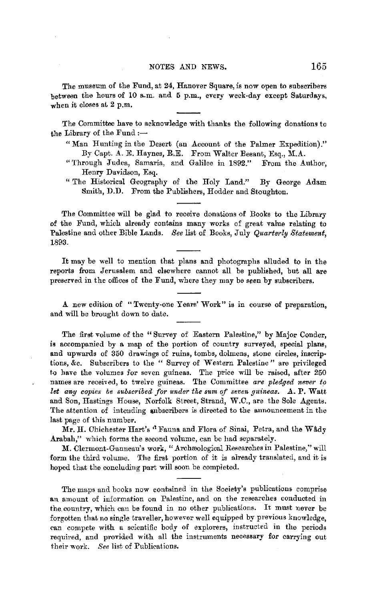The museum of the Fund, at 24, Hanover Square, is now open to subscribers between the hours of 10 a.m. and 6 p.m., every week-day except Saturdays, when it closes at 2 p.m.

The Committee have to acknowledge with thanks the following donatiom to the Library of the  $Fund :=$ 

- " Man Hunting in the Desert (an Account of the Palmer Expedition)." By Capt. A. E. Haynes, R.E. From Walter Besant, Esq., M.A.
- "Through Judea, Samaria, and Galilee in 1892." Henry Davidson, Esq.
- " The Historical Geography of the Holy Land." By George Adam Smith, D.D. From the Publishers, Hodder and Stoughton.

The Committee will be glad to receive donations of Books to the Library of the Fund, which already contains many works of great value relating to Palestine and other Bible Lands. *See* list of Books, July *Quarterly Statement,*  1893.

It may be well to mention that plans and photographs alluded to in the reports from Jerusalem and elsewhere cannot all be published, but all are preserved in the offices of the Fund, where they may be seen by subscribers.

A new edition of "Twenty-one Years' Work" is in course of preparation, and will be brought down to date.

The first volume of the " Survey of Eastern Palestine," by Major Conder, is accompanied by a map of the portion of country surveyed, special plans, and upwards of 350 drawings of ruins, tombs, dolmens, stone circles, inscriptions, &c. Subscribers to the " Survey of Western Palestine " are privileged to have the volumes for seven guineas. The price will be raised, after 250 names are received, to twelve guineas. The Committee *are pledged never to let any copies be subscribed for under the sum of seven guineas.* A. P. Watt and Son, Hastings House, Norfolk Street, Strand, W.C., are the Sole Agents. The attention of intending subscribers is directed to the announcement in the last page of this number.

Mr. H. Chichester Hart's <sup>a</sup> Fauna and Flora of Sinai, Petra, and the Wâdy Arabah," which forms the second volume, can be had separately.

M. Clermont-Ganneau's work, "Archæological Researches in Palestine," will form the third volume. The first portion of it is already translated, and it is hoped that the concluding part will soou be completed.

The maps and books now contained in the Society's publications comprise an amount of information on Palestine, and on the researches conducted in the.country, which can be found in no other publications. It must never be forgotten that no single traveller, however well equipped by previous knowledge, can compete with a scientific body of explorers, instructed in the periods required, and provided with all the instruments necessary for carrying out their work. *See* list of Publications.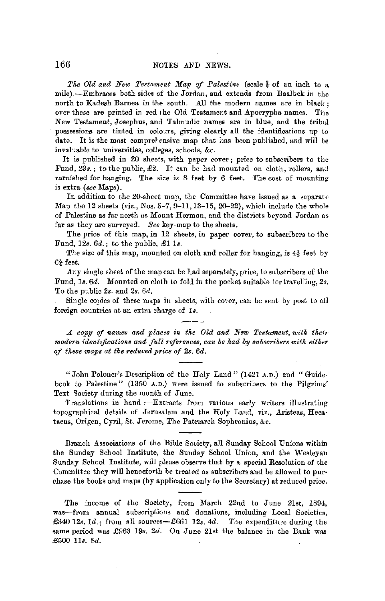*The Old and New Testament Map of Palestine* (scale  $\frac{3}{8}$  of an inch to a mile).-Embraces both sides of the Jorilan, and extends from Baalbek in the north to Kadesh Barnea in the south. All the modern names are in black ; over these are printed in red 1he Old Testament and Apocrypha names. The New Testament, Josephus, and Talmudic names are in blue, and the tribal possessions are tinted in colours, giving clearly all the identifications up io date. It is the most comprehensive map that has been published, and will be invaluable to universities, colleges, schools, &c.

It is published in 20 sheets, with paper cover; price to subscribers to the Fund, 23s.; to the public, £2. It can be had mounted on cloth, rollers, and varnished for hanging. The size is 8 feet by 6 feet. The cost of mounting is extra *(see* Maps).

In addition to the 20-sheet map, the Committee have issued as a separate Map the 12 sheets (viz., Nos. 5-7, 9-11, 13-15, 20-22), which include the whole of Palestine as far north us Mount Hermon, and the districts beyond Jordan as far as they are surveyed. *See* key-map to the sheets.

The price of this map, in 12 sheets, in paper cover, to subscribers to the Fund, 12s. *6d.;* to the public, £1 ls.

The size of this map, mounted on cloth and roller for hanging, is 4½ feet by  $6\frac{3}{4}$  feet.

Any single sheet of the map can be had separately, price, to subscribers of the Fund, 1s. 6d. Mounted on cloth to fold in the pocket suitable for travelling, 2s. To the public *2s.* and *2s. 6d.* 

Single copies of these maps in sheets, with cover, can be sent by post to all foreign countries at an extra charge of *ls.* 

*A copy* ef *names and places in the Old and New Testament, with their modern identifications and full references, can be had by subscribers with either of these maps at the reduced price of 2s. 6d.* 

"John Poloner's Description of the Holy Land" (1421 A.D.) and "Guidebook to Palestine" (1350 A.D.) were issued to subscribers to the Pilgrims' Text Society during the month of June.

Translations in hand :- Extracts from various early writers illustrating topographical details of Jerusalem and the Holy Land, viz., Aristeas, Hecataeus, Origen, Cyril, St. Jerome, The Patriarch Sophronius, &c.

Branch Associations of the Bible Society, all Sunday School Unions within the Sunday School Institute, the Sunday School Union, and the Wesleyan Sunday School Institute, will please observe that by a special Resolution of the Committee they will henceforth be treated as subscribers and be allowed to purchase the books and maps (by application only to the Secretary) at reduced price.

The income of the Society, from March 22nd to June 21st, 1894, was-from annual subscriptions and donations, including Local Societies, £340 12s. *Id.;* from all sources-£661 *12s.* 4d. The expenditure during the same period was £963 19s. 2d. On June 21st the balance in the Bank was £500 Us. 8d.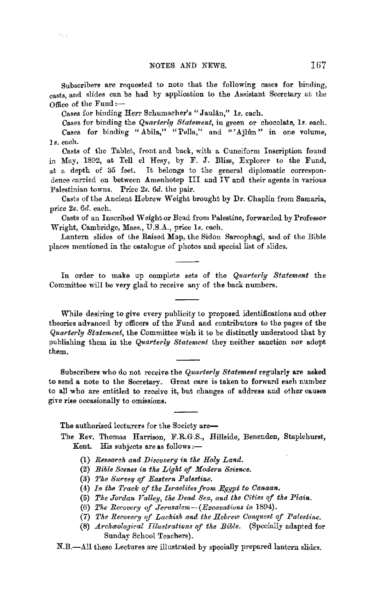Subscribers are requested to note that the following cases for binding, casts, and slides can be had by application to the Assistant Secretary at the Office of the Fund : $-$ 

Cases for binding Herr Schumacher's "Jaulân," 1s. each.

 $\sim r_{\rm crit}$ 

Cases for binding the *Quarterly Statement,* in green or chocolate, ls. each. Cases for binding "Abila," "Pella," and "'Ajlûn" in one volume, 1 *s.* each.

Casts of the Tablet, front and back, with a Cuneiform Inscription found in May, 1892, at Tell el Hesy, by F. J. Bliss, Explorer to the Fund, at a depth of 35 feet. It belongs to the general diplomatic correspondence carried on between Amenhotep III and IV and their agents in various Palestinian towns. Price *2s. 6d.* the pair.

Casts of the Ancient Hebrew Weight brought by Dr. Chaplin from Samaria, price *2s. 6d.* each.

Casts of an Inscribed Weight or Bead from Palestine, forwarded by Professor Wright, Cambridge, Mass., U.S.A., price ls. each.

Lantern slides of the Raised Map, the Sidon Sarcophagi, and of the Bible places mentioned in the catalogue of photos and special list of slides.

In order to make up complete sets of the *Quarterly Statement* the Committee will be very glad to receive any of the back numbers.

While desiring to give every publicity to proposed identifications and other theories advanced by officers of the Fund and contributors *to* the pages of the *Quarterly Statement,* the Committee wish it to be distinctly understood that by publishing them in the *Q11arterly Statement* they neither sanction nor adopt them.

Subscribers who do not receive the *Quarterly Statement* regularly are asked to send a note to the Secretary. Great care is taken to forward each number to all who are entitled to receive it, hut changes of address and other causes give rise occasionally to omissions.

The authorised lecturers for the Society are-

- The Rev. Thomas Harrison, F.R.G.S., Hillside, Benenden, Staplehurst, Kent. His subjects are as follows:--
	- (1) *Research and Discovery in the Holy Land.*
	- (2) *Bible Scenes in the Light of Modern Science.*
	- (3) The Survey of Eastern Palestine.
	- (4) In the Track of the Israelites from Egypt to Canaan.
	- (5) *Tke Jordan Valle\_y, the IJead Sea, and the Cities of the Plain.*
	- (6) *Tke Recovery of Jerusalem-(Excavatiuns in* 1894).
	- (7) The Recovery of Lachish and the Hebrew Conquest of Palestine.
	- (8) *Archaeological Illustrations of the Bible.* (Specially adapted for Sunday School Teachers).

N.B.-.A.11 these Lectures are illustrated by specially prepared lantern slides.